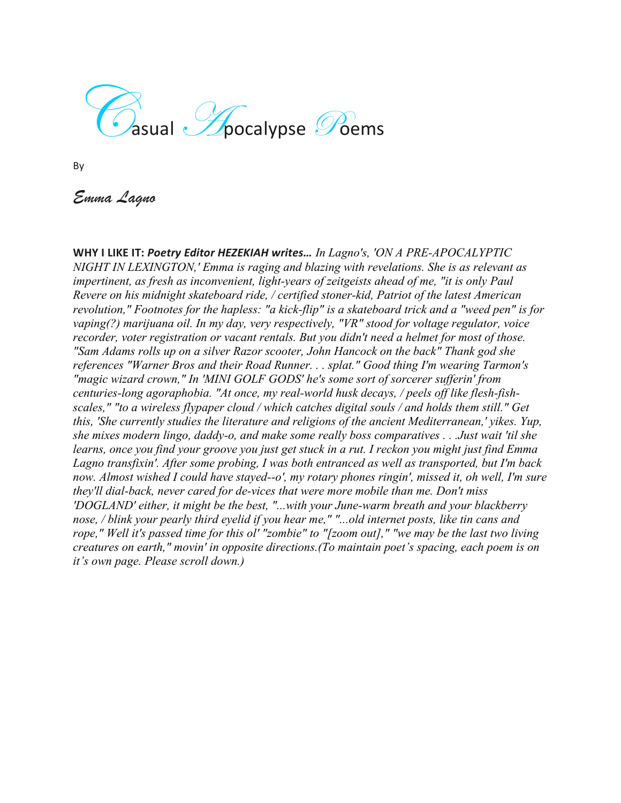$\overline{\mathcal{G}}$  asual  $\mathscr{G}$ pocalypse  $\mathscr{G}$ oems

By

*Emma Lagno*

**WHY I LIKE IT:** *Poetry Editor HEZEKIAH writes… In Lagno's, 'ON A PRE-APOCALYPTIC NIGHT IN LEXINGTON,' Emma is raging and blazing with revelations. She is as relevant as impertinent, as fresh as inconvenient, light-years of zeitgeists ahead of me, "it is only Paul Revere on his midnight skateboard ride, / certified stoner-kid, Patriot of the latest American revolution," Footnotes for the hapless: "a kick-flip" is a skateboard trick and a "weed pen" is for vaping(?) marijuana oil. In my day, very respectively, "VR" stood for voltage regulator, voice recorder, voter registration or vacant rentals. But you didn't need a helmet for most of those. "Sam Adams rolls up on a silver Razor scooter, John Hancock on the back" Thank god she references "Warner Bros and their Road Runner. . . splat." Good thing I'm wearing Tarmon's "magic wizard crown," In 'MINI GOLF GODS' he's some sort of sorcerer sufferin' from centuries-long agoraphobia. "At once, my real-world husk decays, / peels off like flesh-fishscales," "to a wireless flypaper cloud / which catches digital souls / and holds them still." Get this, 'She currently studies the literature and religions of the ancient Mediterranean,' yikes. Yup, she mixes modern lingo, daddy-o, and make some really boss comparatives . . .Just wait 'til she learns, once you find your groove you just get stuck in a rut. I reckon you might just find Emma Lagno transfixin'. After some probing, I was both entranced as well as transported, but I'm back now. Almost wished I could have stayed--o', my rotary phones ringin', missed it, oh well, I'm sure they'll dial-back, never cared for de-vices that were more mobile than me. Don't miss 'DOGLAND' either, it might be the best, "...with your June-warm breath and your blackberry nose, / blink your pearly third eyelid if you hear me," "...old internet posts, like tin cans and rope," Well it's passed time for this ol' "zombie" to "[zoom out]," "we may be the last two living creatures on earth," movin' in opposite directions.(To maintain poet's spacing, each poem is on it's own page. Please scroll down.)*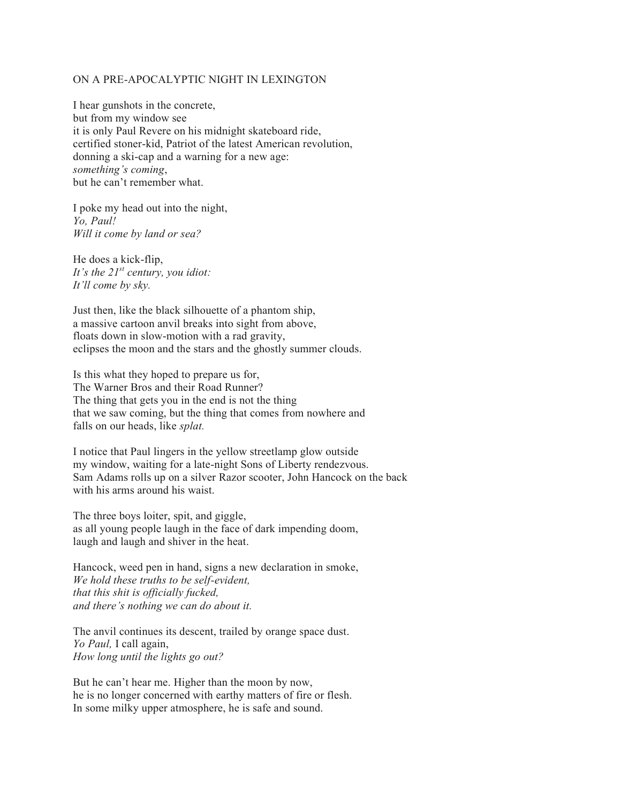## ON A PRE-APOCALYPTIC NIGHT IN LEXINGTON

I hear gunshots in the concrete, but from my window see it is only Paul Revere on his midnight skateboard ride, certified stoner-kid, Patriot of the latest American revolution, donning a ski-cap and a warning for a new age: *something's coming*, but he can't remember what.

I poke my head out into the night, *Yo, Paul! Will it come by land or sea?*

He does a kick-flip, *It's the 21st century, you idiot: It'll come by sky.* 

Just then, like the black silhouette of a phantom ship, a massive cartoon anvil breaks into sight from above, floats down in slow-motion with a rad gravity, eclipses the moon and the stars and the ghostly summer clouds.

Is this what they hoped to prepare us for, The Warner Bros and their Road Runner? The thing that gets you in the end is not the thing that we saw coming, but the thing that comes from nowhere and falls on our heads, like *splat.*

I notice that Paul lingers in the yellow streetlamp glow outside my window, waiting for a late-night Sons of Liberty rendezvous. Sam Adams rolls up on a silver Razor scooter, John Hancock on the back with his arms around his waist.

The three boys loiter, spit, and giggle, as all young people laugh in the face of dark impending doom, laugh and laugh and shiver in the heat.

Hancock, weed pen in hand, signs a new declaration in smoke, *We hold these truths to be self-evident, that this shit is officially fucked, and there's nothing we can do about it.* 

The anvil continues its descent, trailed by orange space dust. *Yo Paul,* I call again, *How long until the lights go out?* 

But he can't hear me. Higher than the moon by now, he is no longer concerned with earthy matters of fire or flesh. In some milky upper atmosphere, he is safe and sound.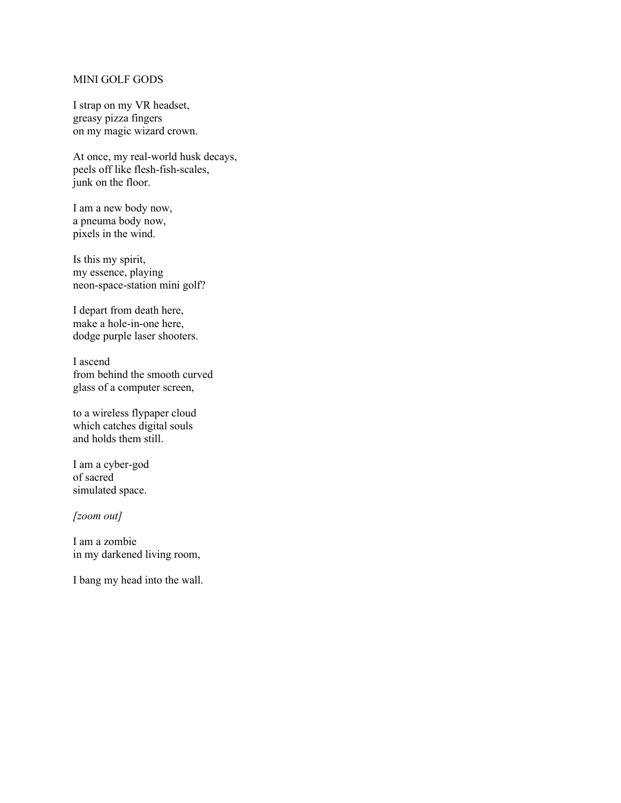## MINI GOLF GODS

I strap on my VR headset, greasy pizza fingers on my magic wizard crown.

At once, my real-world husk decays, peels off like flesh-fish-scales, junk on the floor.

I am a new body now, a pneuma body now, pixels in the wind.

Is this my spirit, my essence, playing neon-space-station mini golf?

I depart from death here, make a hole-in-one here, dodge purple laser shooters.

I ascend from behind the smooth curved glass of a computer screen,

to a wireless flypaper cloud which catches digital souls and holds them still.

I am a cyber-god of sacred simulated space.

*[zoom out]*

I am a zombie in my darkened living room,

I bang my head into the wall.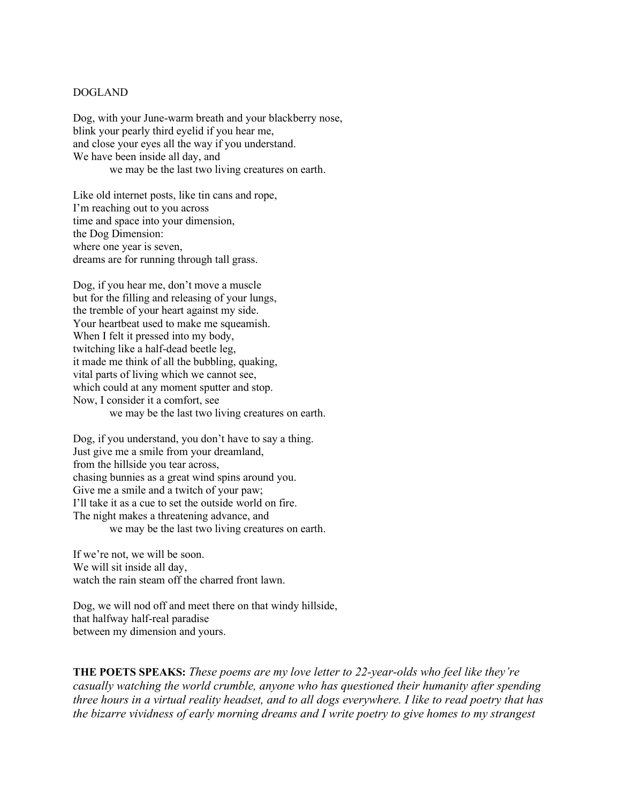## DOGLAND

Dog, with your June-warm breath and your blackberry nose, blink your pearly third eyelid if you hear me, and close your eyes all the way if you understand. We have been inside all day, and we may be the last two living creatures on earth.

Like old internet posts, like tin cans and rope, I'm reaching out to you across time and space into your dimension, the Dog Dimension: where one year is seven, dreams are for running through tall grass.

Dog, if you hear me, don't move a muscle but for the filling and releasing of your lungs, the tremble of your heart against my side. Your heartbeat used to make me squeamish. When I felt it pressed into my body, twitching like a half-dead beetle leg, it made me think of all the bubbling, quaking, vital parts of living which we cannot see, which could at any moment sputter and stop. Now, I consider it a comfort, see we may be the last two living creatures on earth.

Dog, if you understand, you don't have to say a thing. Just give me a smile from your dreamland, from the hillside you tear across, chasing bunnies as a great wind spins around you. Give me a smile and a twitch of your paw; I'll take it as a cue to set the outside world on fire. The night makes a threatening advance, and we may be the last two living creatures on earth.

If we're not, we will be soon. We will sit inside all day, watch the rain steam off the charred front lawn.

Dog, we will nod off and meet there on that windy hillside, that halfway half-real paradise between my dimension and yours.

**THE POETS SPEAKS:** *These poems are my love letter to 22-year-olds who feel like they're casually watching the world crumble, anyone who has questioned their humanity after spending three hours in a virtual reality headset, and to all dogs everywhere. I like to read poetry that has the bizarre vividness of early morning dreams and I write poetry to give homes to my strangest*